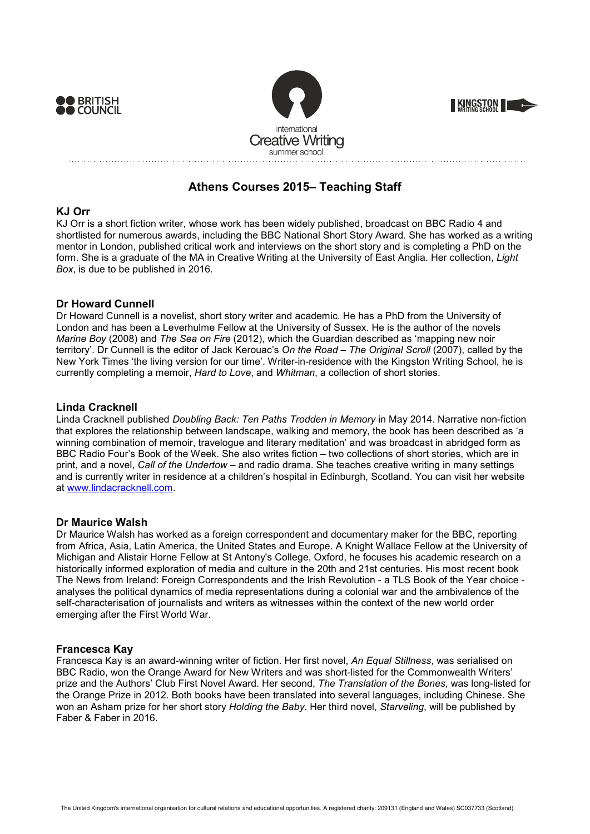





# **Athens Courses 2015– Teaching Staff**

# **KJ Orr**

KJ Orr is a short fiction writer, whose work has been widely published, broadcast on BBC Radio 4 and shortlisted for numerous awards, including the BBC National Short Story Award. She has worked as a writing mentor in London, published critical work and interviews on the short story and is completing a PhD on the form. She is a graduate of the MA in Creative Writing at the University of East Anglia. Her collection, *Light Box*, is due to be published in 2016.

# **Dr Howard Cunnell**

Dr Howard Cunnell is a novelist, short story writer and academic. He has a PhD from the University of London and has been a Leverhulme Fellow at the University of Sussex. He is the author of the novels *Marine Boy* (2008) and *The Sea on Fire* (2012), which the Guardian described as 'mapping new noir territory'. Dr Cunnell is the editor of Jack Kerouac's *On the Road – The Original Scroll* (2007), called by the New York Times 'the living version for our time'. Writer-in-residence with the Kingston Writing School, he is currently completing a memoir, *Hard to Love*, and *Whitman*, a collection of short stories.

# **Linda Cracknell**

Linda Cracknell published *Doubling Back: Ten Paths Trodden in Memory* in May 2014. Narrative non-fiction that explores the relationship between landscape, walking and memory, the book has been described as 'a winning combination of memoir, travelogue and literary meditation' and was broadcast in abridged form as BBC Radio Four's Book of the Week. She also writes fiction – two collections of short stories, which are in print, and a novel, *Call of the Undertow* – and radio drama. She teaches creative writing in many settings and is currently writer in residence at a children's hospital in Edinburgh, Scotland. You can visit her website at www.lindacracknell.com.

## **Dr Maurice Walsh**

Dr Maurice Walsh has worked as a foreign correspondent and documentary maker for the BBC, reporting from Africa, Asia, Latin America, the United States and Europe. A Knight Wallace Fellow at the University of Michigan and Alistair Horne Fellow at St Antony's College, Oxford, he focuses his academic research on a historically informed exploration of media and culture in the 20th and 21st centuries. His most recent book The News from Ireland: Foreign Correspondents and the Irish Revolution - a TLS Book of the Year choice analyses the political dynamics of media representations during a colonial war and the ambivalence of the self-characterisation of journalists and writers as witnesses within the context of the new world order emerging after the First World War.

## **Francesca Kay**

Francesca Kay is an award-winning writer of fiction. Her first novel, *An Equal Stillness*, was serialised on BBC Radio, won the Orange Award for New Writers and was short-listed for the Commonwealth Writers' prize and the Authors' Club First Novel Award. Her second, *The Translation of the Bones*, was long-listed for the Orange Prize in 2012. Both books have been translated into several languages, including Chinese. She won an Asham prize for her short story *Holding the Baby*. Her third novel, *Starveling*, will be published by Faber & Faber in 2016.